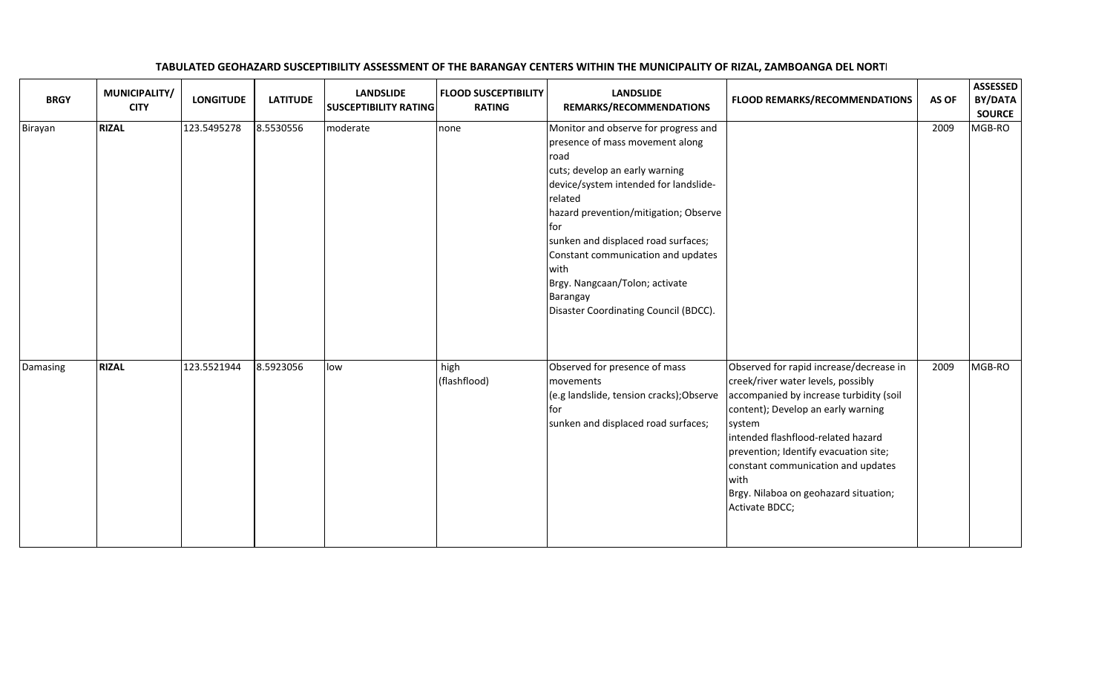| <b>BRGY</b> | MUNICIPALITY/<br><b>CITY</b> | <b>LONGITUDE</b> | <b>LATITUDE</b> | <b>LANDSLIDE</b><br><b>SUSCEPTIBILITY RATING</b> | <b>FLOOD SUSCEPTIBILITY</b><br><b>RATING</b> | <b>LANDSLIDE</b><br>REMARKS/RECOMMENDATIONS                                                                                                                                                                                                                                                                                                                                                       | <b>FLOOD REMARKS/RECOMMENDATIONS</b>                                                                                                                                                                                                                                                                                                                             | AS OF | <b>ASSESSED</b><br>BY/DATA<br><b>SOURCE</b> |
|-------------|------------------------------|------------------|-----------------|--------------------------------------------------|----------------------------------------------|---------------------------------------------------------------------------------------------------------------------------------------------------------------------------------------------------------------------------------------------------------------------------------------------------------------------------------------------------------------------------------------------------|------------------------------------------------------------------------------------------------------------------------------------------------------------------------------------------------------------------------------------------------------------------------------------------------------------------------------------------------------------------|-------|---------------------------------------------|
| Birayan     | <b>RIZAL</b>                 | 123.5495278      | 8.5530556       | moderate                                         | none                                         | Monitor and observe for progress and<br>presence of mass movement along<br>road<br>cuts; develop an early warning<br>device/system intended for landslide-<br>related<br>hazard prevention/mitigation; Observe<br>for<br>sunken and displaced road surfaces;<br>Constant communication and updates<br>with<br>Brgy. Nangcaan/Tolon; activate<br>Barangay<br>Disaster Coordinating Council (BDCC). |                                                                                                                                                                                                                                                                                                                                                                  | 2009  | MGB-RO                                      |
| Damasing    | <b>RIZAL</b>                 | 123.5521944      | 8.5923056       | low                                              | high<br>(flashflood)                         | Observed for presence of mass<br>movements<br>(e.g landslide, tension cracks); Observe<br>for<br>sunken and displaced road surfaces;                                                                                                                                                                                                                                                              | Observed for rapid increase/decrease in<br>creek/river water levels, possibly<br>accompanied by increase turbidity (soil<br>content); Develop an early warning<br>system<br>intended flashflood-related hazard<br>prevention; Identify evacuation site;<br>constant communication and updates<br>with<br>Brgy. Nilaboa on geohazard situation;<br>Activate BDCC; | 2009  | MGB-RO                                      |

## TABULATED GEOHAZARD SUSCEPTIBILITY ASSESSMENT OF THE BARANGAY CENTERS WITHIN THE MUNICIPALITY OF RIZAL, ZAMBOANGA DEL NORTE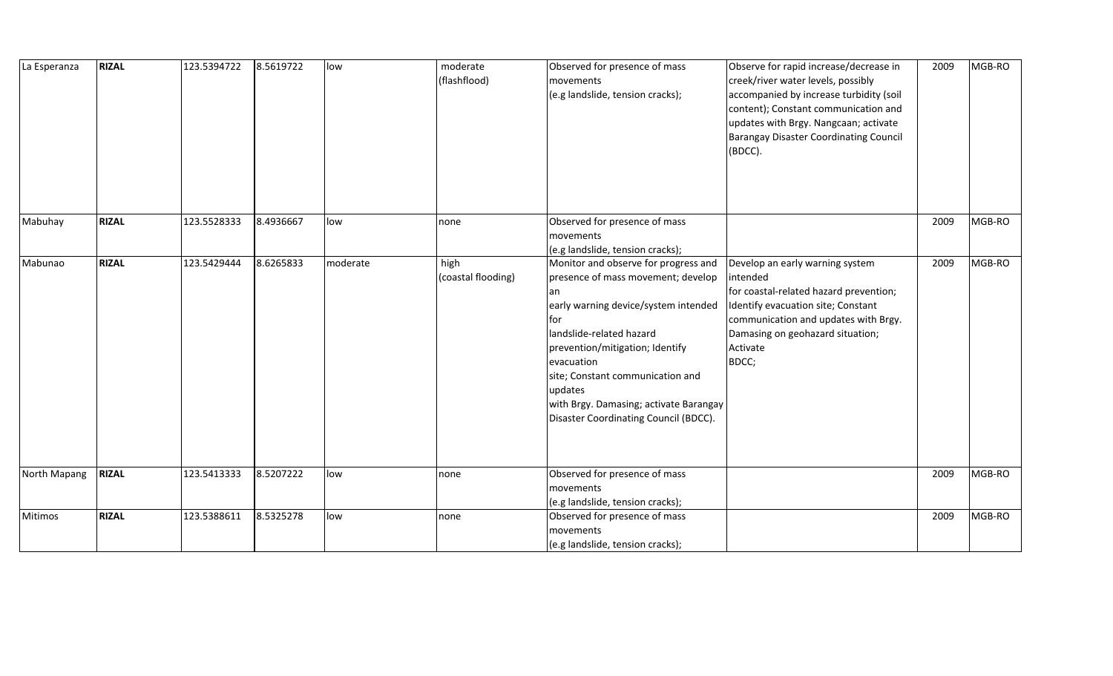| La Esperanza | <b>RIZAL</b> | 123.5394722 | 8.5619722 | low      | moderate<br>(flashflood)   | Observed for presence of mass<br>movements<br>(e.g landslide, tension cracks);                                                                                                                                                                                                                                                                 | Observe for rapid increase/decrease in<br>creek/river water levels, possibly<br>accompanied by increase turbidity (soil<br>content); Constant communication and<br>updates with Brgy. Nangcaan; activate<br><b>Barangay Disaster Coordinating Council</b><br>(BDCC). | 2009 | MGB-RO |
|--------------|--------------|-------------|-----------|----------|----------------------------|------------------------------------------------------------------------------------------------------------------------------------------------------------------------------------------------------------------------------------------------------------------------------------------------------------------------------------------------|----------------------------------------------------------------------------------------------------------------------------------------------------------------------------------------------------------------------------------------------------------------------|------|--------|
| Mabuhay      | <b>RIZAL</b> | 123.5528333 | 8.4936667 | low      | none                       | Observed for presence of mass<br>movements<br>(e.g landslide, tension cracks);                                                                                                                                                                                                                                                                 |                                                                                                                                                                                                                                                                      | 2009 | MGB-RO |
| Mabunao      | <b>RIZAL</b> | 123.5429444 | 8.6265833 | moderate | high<br>(coastal flooding) | Monitor and observe for progress and<br>presence of mass movement; develop<br>an<br>early warning device/system intended<br>for<br>landslide-related hazard<br>prevention/mitigation; Identify<br>evacuation<br>site; Constant communication and<br>updates<br>with Brgy. Damasing; activate Barangay<br>Disaster Coordinating Council (BDCC). | Develop an early warning system<br>intended<br>for coastal-related hazard prevention;<br>Identify evacuation site; Constant<br>communication and updates with Brgy.<br>Damasing on geohazard situation;<br>Activate<br>BDCC;                                         | 2009 | MGB-RO |
| North Mapang | <b>RIZAL</b> | 123.5413333 | 8.5207222 | low      | none                       | Observed for presence of mass<br>movements<br>(e.g landslide, tension cracks);                                                                                                                                                                                                                                                                 |                                                                                                                                                                                                                                                                      | 2009 | MGB-RO |
| Mitimos      | <b>RIZAL</b> | 123.5388611 | 8.5325278 | low      | none                       | Observed for presence of mass<br>movements<br>(e.g landslide, tension cracks);                                                                                                                                                                                                                                                                 |                                                                                                                                                                                                                                                                      | 2009 | MGB-RO |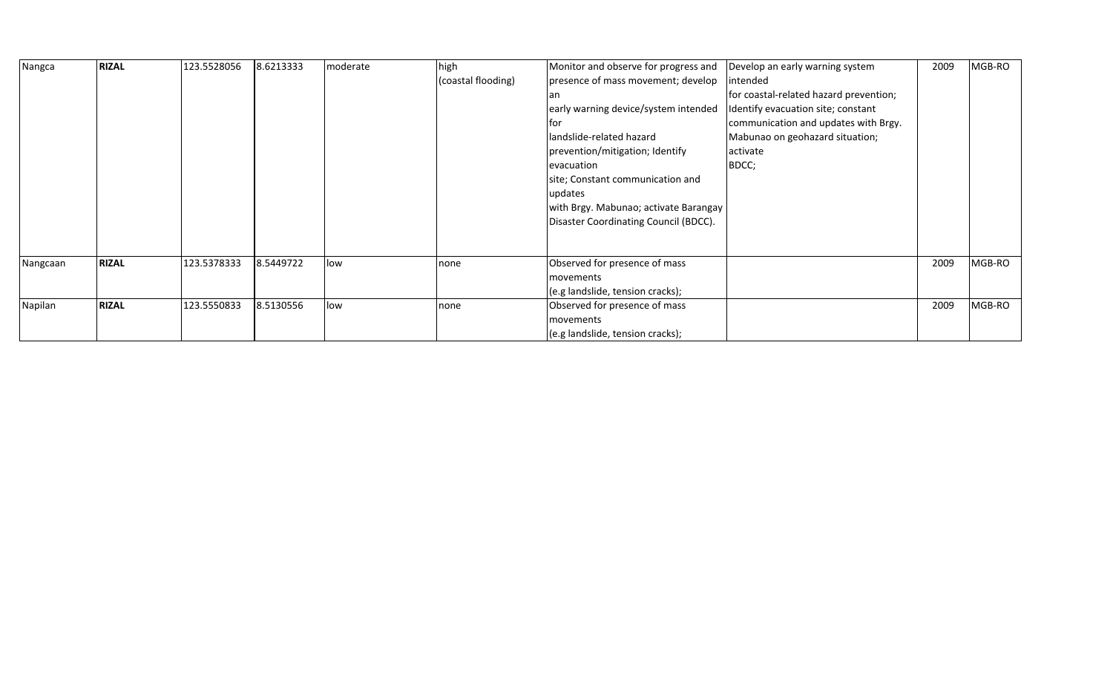| Nangca   | <b>RIZAL</b> | 123.5528056 | 8.6213333 | moderate | high               | Monitor and observe for progress and  | Develop an early warning system        | 2009 | MGB-RO |
|----------|--------------|-------------|-----------|----------|--------------------|---------------------------------------|----------------------------------------|------|--------|
|          |              |             |           |          | (coastal flooding) | presence of mass movement; develop    | intended                               |      |        |
|          |              |             |           |          |                    | an                                    | for coastal-related hazard prevention; |      |        |
|          |              |             |           |          |                    | early warning device/system intended  | Identify evacuation site; constant     |      |        |
|          |              |             |           |          |                    | Itor                                  | communication and updates with Brgy.   |      |        |
|          |              |             |           |          |                    | landslide-related hazard              | Mabunao on geohazard situation;        |      |        |
|          |              |             |           |          |                    | prevention/mitigation; Identify       | activate                               |      |        |
|          |              |             |           |          |                    | evacuation                            | BDCC;                                  |      |        |
|          |              |             |           |          |                    | site; Constant communication and      |                                        |      |        |
|          |              |             |           |          |                    | updates                               |                                        |      |        |
|          |              |             |           |          |                    | with Brgy. Mabunao; activate Barangay |                                        |      |        |
|          |              |             |           |          |                    | Disaster Coordinating Council (BDCC). |                                        |      |        |
|          |              |             |           |          |                    |                                       |                                        |      |        |
| Nangcaan | <b>RIZAL</b> | 123.5378333 | 8.5449722 | low      | none               | Observed for presence of mass         |                                        | 2009 | MGB-RO |
|          |              |             |           |          |                    | movements                             |                                        |      |        |
|          |              |             |           |          |                    | (e.g landslide, tension cracks);      |                                        |      |        |
| Napilan  | <b>RIZAL</b> | 123.5550833 | 8.5130556 | low      | none               | Observed for presence of mass         |                                        | 2009 | MGB-RO |
|          |              |             |           |          |                    | movements                             |                                        |      |        |
|          |              |             |           |          |                    | (e.g landslide, tension cracks);      |                                        |      |        |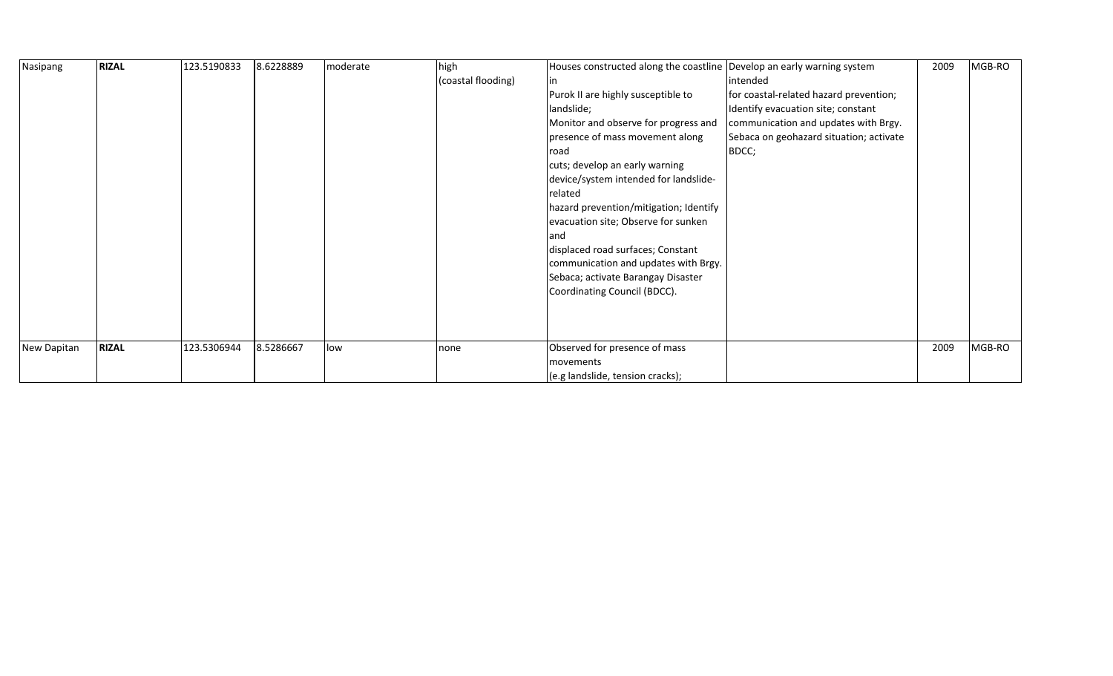| Nasipang    | <b>RIZAL</b> | 123.5190833 | 8.6228889 | moderate | high               | Houses constructed along the coastline Develop an early warning system |                                         | 2009 | MGB-RO |
|-------------|--------------|-------------|-----------|----------|--------------------|------------------------------------------------------------------------|-----------------------------------------|------|--------|
|             |              |             |           |          | (coastal flooding) | in.                                                                    | intended                                |      |        |
|             |              |             |           |          |                    | Purok II are highly susceptible to                                     | for coastal-related hazard prevention;  |      |        |
|             |              |             |           |          |                    | landslide;                                                             | Identify evacuation site; constant      |      |        |
|             |              |             |           |          |                    | Monitor and observe for progress and                                   | communication and updates with Brgy.    |      |        |
|             |              |             |           |          |                    | presence of mass movement along                                        | Sebaca on geohazard situation; activate |      |        |
|             |              |             |           |          |                    | <b>I</b> road                                                          | BDCC;                                   |      |        |
|             |              |             |           |          |                    | cuts; develop an early warning                                         |                                         |      |        |
|             |              |             |           |          |                    | device/system intended for landslide-                                  |                                         |      |        |
|             |              |             |           |          |                    | related                                                                |                                         |      |        |
|             |              |             |           |          |                    | hazard prevention/mitigation; Identify                                 |                                         |      |        |
|             |              |             |           |          |                    | evacuation site; Observe for sunken                                    |                                         |      |        |
|             |              |             |           |          |                    | land                                                                   |                                         |      |        |
|             |              |             |           |          |                    | displaced road surfaces; Constant                                      |                                         |      |        |
|             |              |             |           |          |                    | communication and updates with Brgy.                                   |                                         |      |        |
|             |              |             |           |          |                    | Sebaca; activate Barangay Disaster                                     |                                         |      |        |
|             |              |             |           |          |                    | Coordinating Council (BDCC).                                           |                                         |      |        |
|             |              |             |           |          |                    |                                                                        |                                         |      |        |
|             |              |             |           |          |                    |                                                                        |                                         |      |        |
|             |              |             |           |          |                    |                                                                        |                                         |      |        |
| New Dapitan | <b>RIZAL</b> | 123.5306944 | 8.5286667 | low      | none               | Observed for presence of mass                                          |                                         | 2009 | MGB-RO |
|             |              |             |           |          |                    | movements                                                              |                                         |      |        |
|             |              |             |           |          |                    | (e.g landslide, tension cracks);                                       |                                         |      |        |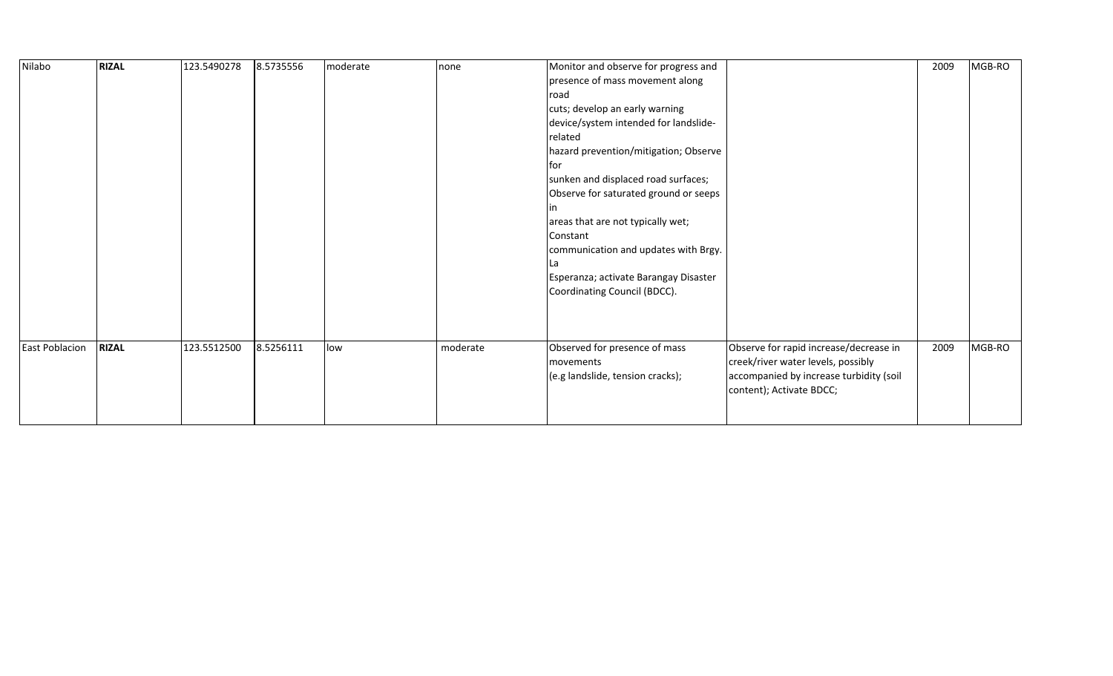| <b>RIZAL</b><br>Nilabo                | 8.5735556<br>123.5490278 | moderate | none     | Monitor and observe for progress and<br>presence of mass movement along<br>road<br>cuts; develop an early warning<br>device/system intended for landslide-<br>related<br>hazard prevention/mitigation; Observe<br>lfor<br>sunken and displaced road surfaces;<br>Observe for saturated ground or seeps<br>areas that are not typically wet;<br>Constant<br>communication and updates with Brgy.<br>La<br>Esperanza; activate Barangay Disaster<br>Coordinating Council (BDCC). |                                                                                                                                                     | 2009 | MGB-RO |
|---------------------------------------|--------------------------|----------|----------|--------------------------------------------------------------------------------------------------------------------------------------------------------------------------------------------------------------------------------------------------------------------------------------------------------------------------------------------------------------------------------------------------------------------------------------------------------------------------------|-----------------------------------------------------------------------------------------------------------------------------------------------------|------|--------|
| <b>RIZAL</b><br><b>East Poblacion</b> | 123.5512500<br>8.5256111 | low      | moderate | Observed for presence of mass<br>movements<br>(e.g landslide, tension cracks);                                                                                                                                                                                                                                                                                                                                                                                                 | Observe for rapid increase/decrease in<br>creek/river water levels, possibly<br>accompanied by increase turbidity (soil<br>content); Activate BDCC; | 2009 | MGB-RO |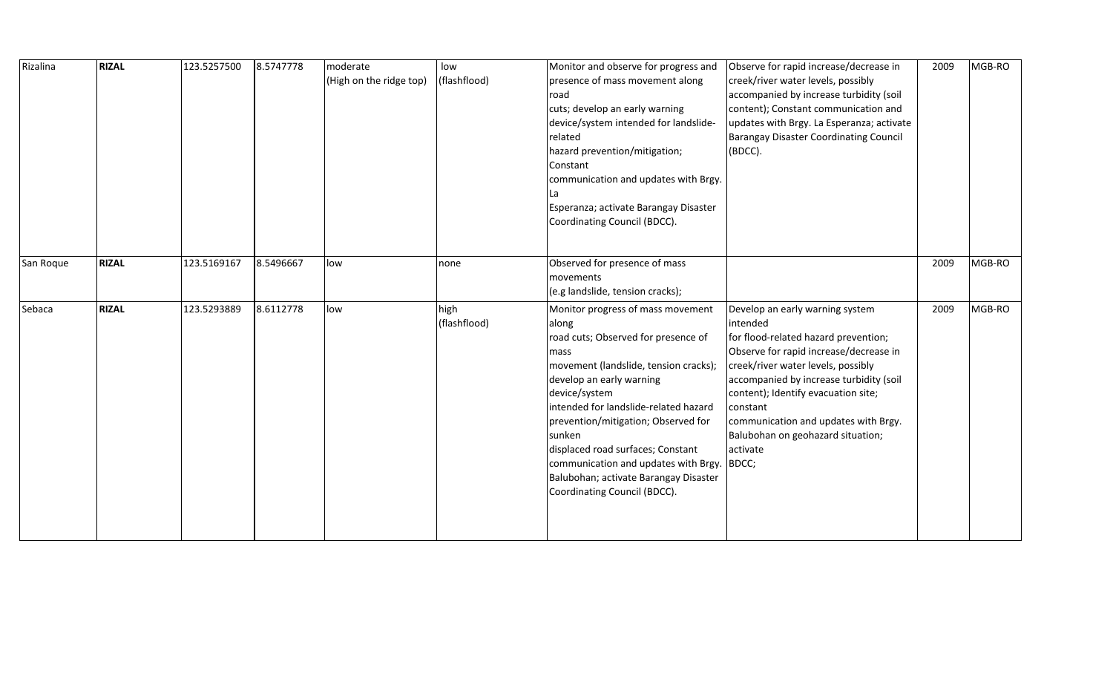| Rizalina  | <b>RIZAL</b> | 123.5257500 | 8.5747778 | moderate                | low          | Monitor and observe for progress and  | Observe for rapid increase/decrease in        | 2009 | MGB-RO |
|-----------|--------------|-------------|-----------|-------------------------|--------------|---------------------------------------|-----------------------------------------------|------|--------|
|           |              |             |           | (High on the ridge top) | (flashflood) | presence of mass movement along       | creek/river water levels, possibly            |      |        |
|           |              |             |           |                         |              | road                                  | accompanied by increase turbidity (soil       |      |        |
|           |              |             |           |                         |              | cuts; develop an early warning        | content); Constant communication and          |      |        |
|           |              |             |           |                         |              | device/system intended for landslide- | updates with Brgy. La Esperanza; activate     |      |        |
|           |              |             |           |                         |              | related                               | <b>Barangay Disaster Coordinating Council</b> |      |        |
|           |              |             |           |                         |              | hazard prevention/mitigation;         | (BDCC).                                       |      |        |
|           |              |             |           |                         |              | Constant                              |                                               |      |        |
|           |              |             |           |                         |              | communication and updates with Brgy.  |                                               |      |        |
|           |              |             |           |                         |              |                                       |                                               |      |        |
|           |              |             |           |                         |              | Esperanza; activate Barangay Disaster |                                               |      |        |
|           |              |             |           |                         |              | Coordinating Council (BDCC).          |                                               |      |        |
|           |              |             |           |                         |              |                                       |                                               |      |        |
|           |              |             |           |                         |              |                                       |                                               |      |        |
| San Roque | <b>RIZAL</b> | 123.5169167 | 8.5496667 | low                     | none         | Observed for presence of mass         |                                               | 2009 | MGB-RO |
|           |              |             |           |                         |              | movements                             |                                               |      |        |
|           |              |             |           |                         |              | (e.g landslide, tension cracks);      |                                               |      |        |
| Sebaca    | <b>RIZAL</b> | 123.5293889 | 8.6112778 | low                     | high         | Monitor progress of mass movement     | Develop an early warning system               | 2009 | MGB-RO |
|           |              |             |           |                         | (flashflood) | along                                 | intended                                      |      |        |
|           |              |             |           |                         |              | road cuts; Observed for presence of   | for flood-related hazard prevention;          |      |        |
|           |              |             |           |                         |              | mass                                  | Observe for rapid increase/decrease in        |      |        |
|           |              |             |           |                         |              | movement (landslide, tension cracks); | creek/river water levels, possibly            |      |        |
|           |              |             |           |                         |              | develop an early warning              | accompanied by increase turbidity (soil       |      |        |
|           |              |             |           |                         |              | device/system                         | content); Identify evacuation site;           |      |        |
|           |              |             |           |                         |              | intended for landslide-related hazard | constant                                      |      |        |
|           |              |             |           |                         |              | prevention/mitigation; Observed for   | communication and updates with Brgy.          |      |        |
|           |              |             |           |                         |              | sunken                                | Balubohan on geohazard situation;             |      |        |
|           |              |             |           |                         |              | displaced road surfaces; Constant     | activate                                      |      |        |
|           |              |             |           |                         |              | communication and updates with Brgy.  | BDCC;                                         |      |        |
|           |              |             |           |                         |              | Balubohan; activate Barangay Disaster |                                               |      |        |
|           |              |             |           |                         |              | Coordinating Council (BDCC).          |                                               |      |        |
|           |              |             |           |                         |              |                                       |                                               |      |        |
|           |              |             |           |                         |              |                                       |                                               |      |        |
|           |              |             |           |                         |              |                                       |                                               |      |        |